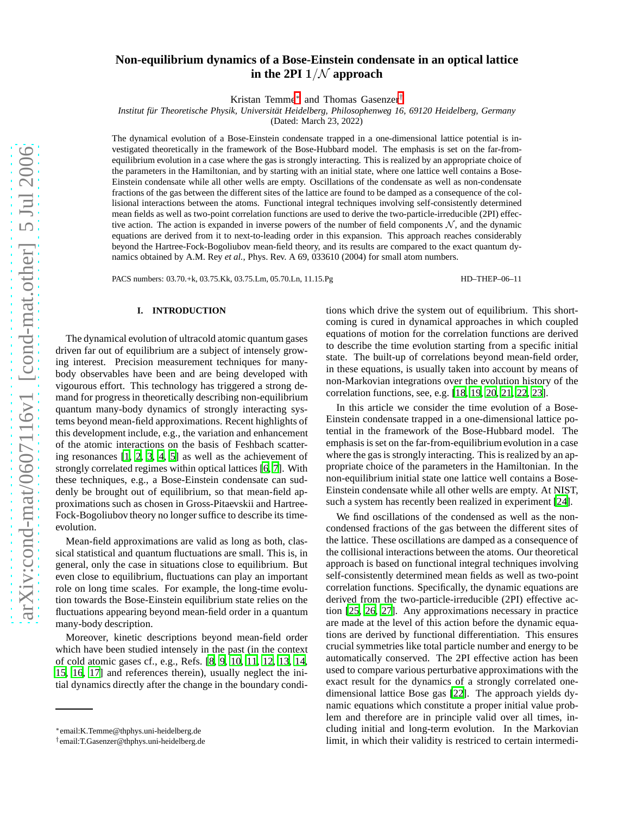# **Non-equilibrium dynamics of a Bose-Einstein condensate in an optical lattice** in the 2PI  $1/N$  approach

Kristan Temme[∗](#page-0-0) and Thomas Gasenzer[†](#page-0-1)

*Institut f¨ur Theoretische Physik, Universit¨at Heidelberg, Philosophenweg 16, 69120 Heidelberg, Germany*

(Dated: March 23, 2022)

The dynamical evolution of a Bose-Einstein condensate trapped in a one-dimensional lattice potential is investigated theoretically in the framework of the Bose-Hubbard model. The emphasis is set on the far-fromequilibrium evolution in a case where the gas is strongly interacting. This is realized by an appropriate choice of the parameters in the Hamiltonian, and by starting with an initial state, where one lattice well contains a Bose-Einstein condensate while all other wells are empty. Oscillations of the condensate as well as non-condensate fractions of the gas between the different sites of the lattice are found to be damped as a consequence of the collisional interactions between the atoms. Functional integral techniques involving self-consistently determined mean fields as well as two-point correlation functions are used to derive the two-particle-irreducible (2PI) effective action. The action is expanded in inverse powers of the number of field components  $N$ , and the dynamic equations are derived from it to next-to-leading order in this expansion. This approach reaches considerably beyond the Hartree-Fock-Bogoliubov mean-field theory, and its results are compared to the exact quantum dynamics obtained by A.M. Rey *et al.*, Phys. Rev. A 69, 033610 (2004) for small atom numbers.

PACS numbers: 03.70.+k, 03.75.Kk, 03.75.Lm, 05.70.Ln, 11.15.Pg HD–THEP–06–11

#### **I. INTRODUCTION**

The dynamical evolution of ultracold atomic quantum gases driven far out of equilibrium are a subject of intensely growing interest. Precision measurement techniques for manybody observables have been and are being developed with vigourous effort. This technology has triggered a strong demand for progress in theoretically describing non-equilibrium quantum many-body dynamics of strongly interacting systems beyond mean-field approximations. Recent highlights of this development include, e.g., the variation and enhancement of the atomic interactions on the basis of Feshbach scattering resonances [\[1,](#page-7-0) [2,](#page-7-1) [3](#page-7-2), [4](#page-8-0), [5\]](#page-8-1) as well as the achievement of strongly correlated regimes within optical lattices [\[6,](#page-8-2) [7\]](#page-8-3). With these techniques, e.g., a Bose-Einstein condensate can suddenly be brought out of equilibrium, so that mean-field approximations such as chosen in Gross-Pitaevskii and Hartree-Fock-Bogoliubov theory no longer suffice to describe its timeevolution.

Mean-field approximations are valid as long as both, classical statistical and quantum fluctuations are small. This is, in general, only the case in situations close to equilibrium. But even close to equilibrium, fluctuations can play an important role on long time scales. For example, the long-time evolution towards the Bose-Einstein equilibrium state relies on the fluctuations appearing beyond mean-field order in a quantum many-body description.

Moreover, kinetic descriptions beyond mean-field order which have been studied intensely in the past (in the context of cold atomic gases cf., e.g., Refs. [\[8](#page-8-4), [9,](#page-8-5) [10](#page-8-6), [11,](#page-8-7) [12,](#page-8-8) [13](#page-8-9), [14,](#page-8-10) [15,](#page-8-11) [16,](#page-8-12) [17\]](#page-8-13) and references therein), usually neglect the initial dynamics directly after the change in the boundary conditions which drive the system out of equilibrium. This shortcoming is cured in dynamical approaches in which coupled equations of motion for the correlation functions are derived to describe the time evolution starting from a specific initial state. The built-up of correlations beyond mean-field order, in these equations, is usually taken into account by means of non-Markovian integrations over the evolution history of the correlation functions, see, e.g. [\[18,](#page-8-14) [19,](#page-8-15) [20,](#page-8-16) [21,](#page-8-17) [22,](#page-8-18) [23](#page-8-19)].

In this article we consider the time evolution of a Bose-Einstein condensate trapped in a one-dimensional lattice potential in the framework of the Bose-Hubbard model. The emphasis is set on the far-from-equilibrium evolution in a case where the gas is strongly interacting. This is realized by an appropriate choice of the parameters in the Hamiltonian. In the non-equilibrium initial state one lattice well contains a Bose-Einstein condensate while all other wells are empty. At NIST, such a system has recently been realized in experiment [\[24](#page-8-20)].

We find oscillations of the condensed as well as the noncondensed fractions of the gas between the different sites of the lattice. These oscillations are damped as a consequence of the collisional interactions between the atoms. Our theoretical approach is based on functional integral techniques involving self-consistently determined mean fields as well as two-point correlation functions. Specifically, the dynamic equations are derived from the two-particle-irreducible (2PI) effective action [\[25](#page-8-21), [26,](#page-8-22) [27\]](#page-8-23). Any approximations necessary in practice are made at the level of this action before the dynamic equations are derived by functional differentiation. This ensures crucial symmetries like total particle number and energy to be automatically conserved. The 2PI effective action has been used to compare various perturbative approximations with the exact result for the dynamics of a strongly correlated onedimensional lattice Bose gas [\[22\]](#page-8-18). The approach yields dynamic equations which constitute a proper initial value problem and therefore are in principle valid over all times, including initial and long-term evolution. In the Markovian limit, in which their validity is restriced to certain intermedi-

<span id="page-0-1"></span><span id="page-0-0"></span><sup>∗</sup> email:K.Temme@thphys.uni-heidelberg.de

<sup>†</sup> email:T.Gasenzer@thphys.uni-heidelberg.de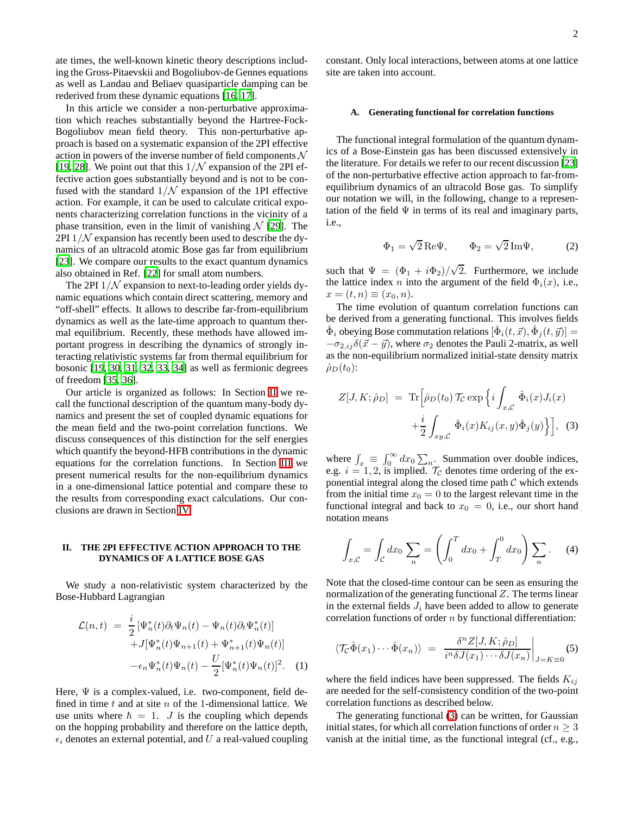ate times, the well-known kinetic theory descriptions including the Gross-Pitaevskii and Bogoliubov-de Gennes equations as well as Landau and Beliaev quasiparticle damping can be rederived from these dynamic equations [\[16](#page-8-12), [17](#page-8-13)].

In this article we consider a non-perturbative approximation which reaches substantially beyond the Hartree-Fock-Bogoliubov mean field theory. This non-perturbative approach is based on a systematic expansion of the 2PI effective action in powers of the inverse number of field components  $\mathcal N$ [\[19](#page-8-15), [28\]](#page-8-24). We point out that this  $1/N$  expansion of the 2PI effective action goes substantially beyond and is not to be confused with the standard  $1/N$  expansion of the 1PI effective action. For example, it can be used to calculate critical exponents characterizing correlation functions in the vicinity of a phase transition, even in the limit of vanishing  $\mathcal{N}$  [\[29\]](#page-8-25). The 2PI  $1/N$  expansion has recently been used to describe the dynamics of an ultracold atomic Bose gas far from equilibrium [\[23](#page-8-19)]. We compare our results to the exact quantum dynamics also obtained in Ref. [\[22\]](#page-8-18) for small atom numbers.

The 2PI  $1/N$  expansion to next-to-leading order yields dynamic equations which contain direct scattering, memory and "off-shell" effects. It allows to describe far-from-equilibrium dynamics as well as the late-time approach to quantum thermal equilibrium. Recently, these methods have allowed important progress in describing the dynamics of strongly interacting relativistic systems far from thermal equilibrium for bosonic [\[19](#page-8-15), [30,](#page-8-26) [31](#page-8-27), [32,](#page-8-28) [33,](#page-8-29) [34\]](#page-8-30) as well as fermionic degrees of freedom [\[35,](#page-8-31) [36\]](#page-8-32).

Our article is organized as follows: In Section [II](#page-1-0) we recall the functional description of the quantum many-body dynamics and present the set of coupled dynamic equations for the mean field and the two-point correlation functions. We discuss consequences of this distinction for the self energies which quantify the beyond-HFB contributions in the dynamic equations for the correlation functions. In Section [III](#page-4-0) we present numerical results for the non-equilibrium dynamics in a one-dimensional lattice potential and compare these to the results from corresponding exact calculations. Our conclusions are drawn in Section [IV.](#page-6-0)

## <span id="page-1-0"></span>**II. THE 2PI EFFECTIVE ACTION APPROACH TO THE DYNAMICS OF A LATTICE BOSE GAS**

<span id="page-1-3"></span>We study a non-relativistic system characterized by the Bose-Hubbard Lagrangian

$$
\mathcal{L}(n,t) = \frac{i}{2} \left[ \Psi_n^*(t) \partial_t \Psi_n(t) - \Psi_n(t) \partial_t \Psi_n^*(t) \right] \n+ J[\Psi_n^*(t) \Psi_{n+1}(t) + \Psi_{n+1}^*(t) \Psi_n(t)] \n- \epsilon_n \Psi_n^*(t) \Psi_n(t) - \frac{U}{2} [\Psi_n^*(t) \Psi_n(t)]^2.
$$
\n(1)

Here,  $\Psi$  is a complex-valued, i.e. two-component, field defined in time  $t$  and at site  $n$  of the 1-dimensional lattice. We use units where  $\hbar = 1$ . J is the coupling which depends on the hopping probability and therefore on the lattice depth,  $\epsilon_i$  denotes an external potential, and U a real-valued coupling constant. Only local interactions, between atoms at one lattice site are taken into account.

### **A. Generating functional for correlation functions**

The functional integral formulation of the quantum dynamics of a Bose-Einstein gas has been discussed extensively in the literature. For details we refer to our recent discussion [\[23\]](#page-8-19) of the non-perturbative effective action approach to far-fromequilibrium dynamics of an ultracold Bose gas. To simplify our notation we will, in the following, change to a representation of the field  $\Psi$  in terms of its real and imaginary parts, i.e.,

$$
\Phi_1 = \sqrt{2} \operatorname{Re} \Psi, \qquad \Phi_2 = \sqrt{2} \operatorname{Im} \Psi, \tag{2}
$$

<span id="page-1-2"></span>such that  $\Psi = (\Phi_1 + i\Phi_2)/\sqrt{2}$ . Furthermore, we include the lattice index n into the argument of the field  $\Phi_i(x)$ , i.e.,  $x=(t, n) \equiv (x_0, n).$ 

The time evolution of quantum correlation functions can be derived from a generating functional. This involves fields  $\hat{\Phi}_i$  obeying Bose commutation relations  $[\hat{\Phi}_i(t, \vec{x}), \hat{\Phi}_j(t, \vec{y})] =$  $-\sigma_{2,ij}\delta(\vec{x}-\vec{y})$ , where  $\sigma_2$  denotes the Pauli 2-matrix, as well as the non-equilibrium normalized initial-state density matrix  $\hat{\rho}_D(t_0)$ :

<span id="page-1-1"></span>
$$
Z[J, K; \hat{\rho}_D] = \text{Tr} \Big[ \hat{\rho}_D(t_0) \mathcal{T}_C \exp \Big\{ i \int_{x, \mathcal{C}} \hat{\Phi}_i(x) J_i(x) + \frac{i}{2} \int_{xy, \mathcal{C}} \hat{\Phi}_i(x) K_{ij}(x, y) \hat{\Phi}_j(y) \Big\} \Big], \quad (3)
$$

where  $\int_x \equiv \int_0^\infty dx_0 \sum_n$ . Summation over double indices, e.g.  $i = 1, 2$ , is implied.  $T_c$  denotes time ordering of the exponential integral along the closed time path  $C$  which extends from the initial time  $x_0 = 0$  to the largest relevant time in the functional integral and back to  $x_0 = 0$ , i.e., our short hand notation means

$$
\int_{x,C} = \int_{C} dx_0 \sum_{n} = \left( \int_{0}^{T} dx_0 + \int_{T}^{0} dx_0 \right) \sum_{n}.
$$
 (4)

Note that the closed-time contour can be seen as ensuring the normalization of the generating functional  $Z$ . The terms linear in the external fields  $J_i$  have been added to allow to generate correlation functions of order n by functional differentiation:

$$
\langle \mathcal{T}_{\mathcal{C}}\hat{\Phi}(x_1)\cdots\hat{\Phi}(x_n)\rangle = \left.\frac{\delta^n Z[J,K;\hat{\rho}_D]}{i^n \delta J(x_1)\cdots\delta J(x_n)}\right|_{J=K\equiv 0} (5)
$$

where the field indices have been suppressed. The fields  $K_{ij}$ are needed for the self-consistency condition of the two-point correlation functions as described below.

The generating functional [\(3\)](#page-1-1) can be written, for Gaussian initial states, for which all correlation functions of order  $n \geq 3$ vanish at the initial time, as the functional integral (cf., e.g.,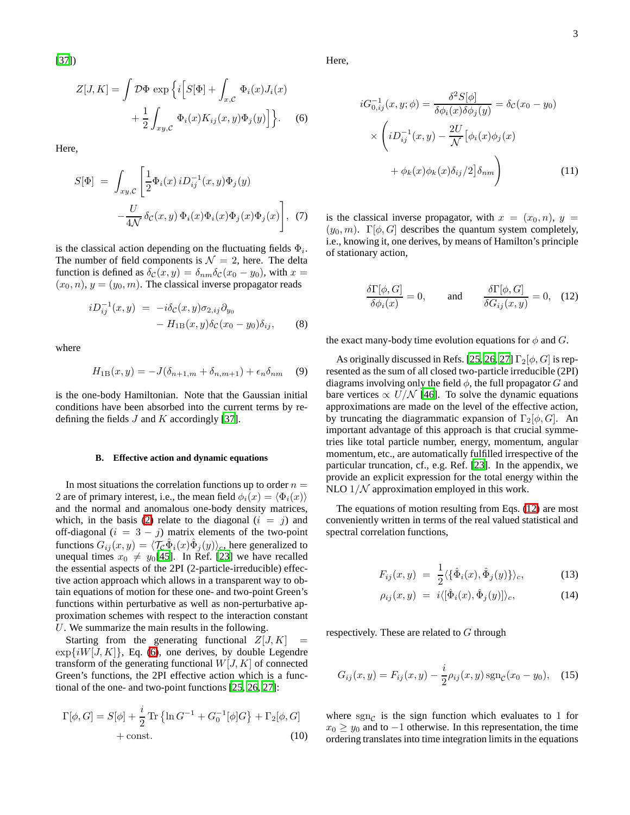[\[37](#page-8-33)])

$$
Z[J,K] = \int \mathcal{D}\Phi \exp \left\{ i \left[ S[\Phi] + \int_{x,\mathcal{C}} \Phi_i(x) J_i(x) \right. \right. \\ \left. + \frac{1}{2} \int_{xy,\mathcal{C}} \Phi_i(x) K_{ij}(x,y) \Phi_j(y) \right] \right\}.
$$
 (6)

Here,

$$
S[\Phi] = \int_{xy,\mathcal{C}} \left[ \frac{1}{2} \Phi_i(x) i D_{ij}^{-1}(x, y) \Phi_j(y) - \frac{U}{4\mathcal{N}} \delta_{\mathcal{C}}(x, y) \Phi_i(x) \Phi_i(x) \Phi_j(x) \Phi_j(x) \right], \tag{7}
$$

is the classical action depending on the fluctuating fields  $\Phi_i$ . The number of field components is  $\mathcal{N} = 2$ , here. The delta function is defined as  $\delta_{\mathcal{C}}(x, y) = \delta_{nm} \delta_{\mathcal{C}}(x_0 - y_0)$ , with  $x =$  $(x_0, n)$ ,  $y = (y_0, m)$ . The classical inverse propagator reads

$$
iD_{ij}^{-1}(x,y) = -i\delta_{\mathcal{C}}(x,y)\sigma_{2,ij}\partial_{y_0}
$$

$$
-H_{1B}(x,y)\delta_{\mathcal{C}}(x_0-y_0)\delta_{ij}, \qquad (8)
$$

where

$$
H_{1B}(x,y) = -J(\delta_{n+1,m} + \delta_{n,m+1}) + \epsilon_n \delta_{nm} \quad (9)
$$

is the one-body Hamiltonian. Note that the Gaussian initial conditions have been absorbed into the current terms by redefining the fields  $J$  and  $K$  accordingly [\[37](#page-8-33)].

#### **B. Effective action and dynamic equations**

In most situations the correlation functions up to order  $n =$ 2 are of primary interest, i.e., the mean field  $\phi_i(x) = \langle \Phi_i(x) \rangle$ and the normal and anomalous one-body density matrices, which, in the basis [\(2\)](#page-1-2) relate to the diagonal  $(i = j)$  and off-diagonal ( $i = 3 - j$ ) matrix elements of the two-point functions  $G_{ij}(x, y) = \langle \mathcal{T}_{\mathcal{C}} \hat{\Phi}_i(x) \hat{\Phi}_j(y) \rangle_c$ , here generalized to unequal times  $x_0 \neq y_0[45]$  $x_0 \neq y_0[45]$ . In Ref. [\[23](#page-8-19)] we have recalled the essential aspects of the 2PI (2-particle-irreducible) effective action approach which allows in a transparent way to obtain equations of motion for these one- and two-point Green's functions within perturbative as well as non-perturbative approximation schemes with respect to the interaction constant U. We summarize the main results in the following.

Starting from the generating functional  $Z[J, K]$  $\exp\{iW[J,K]\},$  Eq. [\(6\)](#page-2-0), one derives, by double Legendre transform of the generating functional  $W[J, K]$  of connected Green's functions, the 2PI effective action which is a functional of the one- and two-point functions [\[25,](#page-8-21) [26,](#page-8-22) [27\]](#page-8-23):

$$
\Gamma[\phi, G] = S[\phi] + \frac{i}{2} \text{Tr} \{ \ln G^{-1} + G_0^{-1}[\phi]G \} + \Gamma_2[\phi, G] + \text{const.}
$$
\n(10)

<span id="page-2-2"></span><span id="page-2-0"></span>Here,

$$
iG_{0,ij}^{-1}(x,y;\phi) = \frac{\delta^2 S[\phi]}{\delta \phi_i(x)\delta \phi_j(y)} = \delta_{\mathcal{C}}(x_0 - y_0)
$$

$$
\times \left( iD_{ij}^{-1}(x,y) - \frac{2U}{\mathcal{N}} \left[ \phi_i(x)\phi_j(x) + \phi_k(x)\phi_k(x)\delta_{ij}/2 \right] \delta_{nm} \right)
$$
(11)

is the classical inverse propagator, with  $x = (x_0, n)$ ,  $y =$  $(y_0, m)$ .  $\Gamma[\phi, G]$  describes the quantum system completely, i.e., knowing it, one derives, by means of Hamilton's principle of stationary action,

$$
\frac{\delta\Gamma[\phi, G]}{\delta\phi_i(x)} = 0, \quad \text{and} \quad \frac{\delta\Gamma[\phi, G]}{\delta G_{ij}(x, y)} = 0, \quad (12)
$$

<span id="page-2-1"></span>the exact many-body time evolution equations for  $\phi$  and G.

As originally discussed in Refs. [\[25,](#page-8-21) [26](#page-8-22), [27\]](#page-8-23)  $\Gamma_2[\phi, G]$  is represented as the sum of all closed two-particle irreducible (2PI) diagrams involving only the field  $\phi$ , the full propagator G and bare vertices  $\propto U/N$  [\[46](#page-8-35)]. To solve the dynamic equations approximations are made on the level of the effective action, by truncating the diagrammatic expansion of  $\Gamma_2[\phi, G]$ . An important advantage of this approach is that crucial symmetries like total particle number, energy, momentum, angular momentum, etc., are automatically fulfilled irrespective of the particular truncation, cf., e.g. Ref. [\[23](#page-8-19)]. In the appendix, we provide an explicit expression for the total energy within the NLO  $1/N$  approximation employed in this work.

The equations of motion resulting from Eqs. [\(12\)](#page-2-1) are most conveniently written in terms of the real valued statistical and spectral correlation functions,

$$
F_{ij}(x,y) = \frac{1}{2} \langle {\hat{\Phi}_i(x), \hat{\Phi}_j(y)} \rangle_c, \qquad (13)
$$

$$
\rho_{ij}(x,y) = i \langle [\hat{\Phi}_i(x), \hat{\Phi}_j(y)] \rangle_c, \tag{14}
$$

respectively. These are related to  $G$  through

$$
G_{ij}(x,y) = F_{ij}(x,y) - \frac{i}{2}\rho_{ij}(x,y)\operatorname{sgn}_{\mathcal{C}}(x_0 - y_0), \quad (15)
$$

<span id="page-2-3"></span>where  $sgn<sub>C</sub>$  is the sign function which evaluates to 1 for  $x_0 \geq y_0$  and to  $-1$  otherwise. In this representation, the time ordering translates into time integration limits in the equations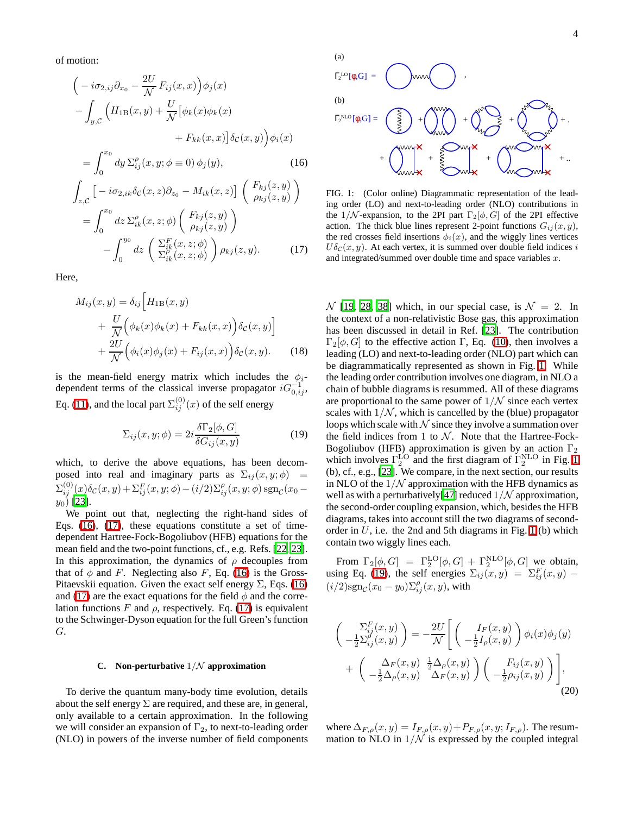<span id="page-3-0"></span>of motion:

$$
\begin{aligned}\n&\left(-i\sigma_{2,ij}\partial_{x_0} - \frac{2U}{\mathcal{N}}F_{ij}(x,x)\right)\phi_j(x) \\
&- \int_{y,\mathcal{C}} \left(H_{1\text{B}}(x,y) + \frac{U}{\mathcal{N}}\big[\phi_k(x)\phi_k(x) \right. \\
&\left. + F_{kk}(x,x)\big]\delta_{\mathcal{C}}(x,y)\right)\phi_i(x) \\
&= \int_0^{x_0} dy \,\Sigma_{ij}^\rho(x,y;\phi \equiv 0) \,\phi_j(y),\n\end{aligned} \tag{16}
$$
\n
$$
\begin{aligned}\n&\int_{z,\mathcal{C}} \big[-i\sigma_{2,ik}\delta_{\mathcal{C}}(x,z)\partial_{z_0} - M_{ik}(x,z)\big] \left(\begin{array}{c} F_{kj}(z,y) \\ \rho_{kj}(z,y) \end{array}\right) \\
&= \int_0^{x_0} dz \,\Sigma_{ik}^\rho(x,z;\phi) \left(\begin{array}{c} F_{kj}(z,y) \\ \rho_{kj}(z,y) \end{array}\right) \\
&- \int_0^{y_0} dz \left(\begin{array}{c} \Sigma_{ik}^F(x,z;\phi) \\ \Sigma_{ik}^\rho(x,z;\phi) \end{array}\right) \rho_{kj}(z,y).\n\end{aligned} \tag{17}
$$

Here,

$$
M_{ij}(x, y) = \delta_{ij} \Big[ H_{1B}(x, y) + \frac{U}{\mathcal{N}} \Big( \phi_k(x) \phi_k(x) + F_{kk}(x, x) \Big) \delta_{\mathcal{C}}(x, y) \Big] + \frac{2U}{\mathcal{N}} \Big( \phi_i(x) \phi_j(x) + F_{ij}(x, x) \Big) \delta_{\mathcal{C}}(x, y).
$$
 (18)

is the mean-field energy matrix which includes the  $\phi_i$ dependent terms of the classical inverse propagator  $iG_{0,ij}^{-1}$ , Eq. [\(11\)](#page-2-2), and the local part  $\Sigma_{ij}^{(0)}(x)$  of the self energy

<span id="page-3-2"></span>
$$
\Sigma_{ij}(x, y; \phi) = 2i \frac{\delta \Gamma_2[\phi, G]}{\delta G_{ij}(x, y)}
$$
(19)

which, to derive the above equations, has been decomposed into real and imaginary parts as  $\Sigma_{ij}(x, y; \phi)$  =  $\Sigma_{ij}^{(0)}(x) \delta_{\mathcal{C}}(x,y) + \Sigma_{ij}^{F}(x,y;\phi) - (i/2) \Sigma_{ij}^{\rho}(x,y;\phi) \, \text{sgn}_{\mathcal{C}}(x_0$  $y_0)$  [\[23](#page-8-19)].

We point out that, neglecting the right-hand sides of Eqs. [\(16\)](#page-3-0), [\(17\)](#page-3-0), these equations constitute a set of timedependent Hartree-Fock-Bogoliubov (HFB) equations for the mean field and the two-point functions, cf., e.g. Refs. [\[22,](#page-8-18) [23](#page-8-19)]. In this approximation, the dynamics of  $\rho$  decouples from that of  $\phi$  and F. Neglecting also F, Eq. [\(16\)](#page-3-0) is the Gross-Pitaevskii equation. Given the exact self energy  $\Sigma$ , Eqs. [\(16\)](#page-3-0) and [\(17\)](#page-3-0) are the exact equations for the field  $\phi$  and the correlation functions F and  $\rho$ , respectively. Eq. [\(17\)](#page-3-0) is equivalent to the Schwinger-Dyson equation for the full Green's function G.

#### **C. Non-perturbative** 1/N **approximation**

<span id="page-3-4"></span>To derive the quantum many-body time evolution, details about the self energy  $\Sigma$  are required, and these are, in general, only available to a certain approximation. In the following we will consider an expansion of  $\Gamma_2$ , to next-to-leading order (NLO) in powers of the inverse number of field components



<span id="page-3-1"></span>FIG. 1: (Color online) Diagrammatic representation of the leading order (LO) and next-to-leading order (NLO) contributions in the 1/N-expansion, to the 2PI part  $\Gamma_2[\phi, G]$  of the 2PI effective action. The thick blue lines represent 2-point functions  $G_{ij}(x, y)$ , the red crosses field insertions  $\phi_i(x)$ , and the wiggly lines vertices  $U\delta_{\mathcal{C}}(x, y)$ . At each vertex, it is summed over double field indices i and integrated/summed over double time and space variables  $x$ .

 $\mathcal{N}$  [\[19,](#page-8-15) [28,](#page-8-24) [38](#page-8-36)] which, in our special case, is  $\mathcal{N} = 2$ . In the context of a non-relativistic Bose gas, this approximation has been discussed in detail in Ref. [\[23\]](#page-8-19). The contribution  $\Gamma_2[\phi, G]$  to the effective action Γ, Eq. [\(10\)](#page-2-3), then involves a leading (LO) and next-to-leading order (NLO) part which can be diagrammatically represented as shown in Fig. [1.](#page-3-1) While the leading order contribution involves one diagram, in NLO a chain of bubble diagrams is resummed. All of these diagrams are proportional to the same power of  $1/N$  since each vertex scales with  $1/N$ , which is cancelled by the (blue) propagator loops which scale with  $N$  since they involve a summation over the field indices from 1 to  $N$ . Note that the Hartree-Fock-Bogoliubov (HFB) approximation is given by an action  $\Gamma_2$ which involves  $\Gamma_2^{\text{LO}}$  and the first diagram of  $\Gamma_2^{\text{NLO}}$  in Fig. [1](#page-3-1) (b), cf., e.g., [\[23\]](#page-8-19). We compare, in the next section, our results in NLO of the  $1/N$  approximation with the HFB dynamics as well as with a perturbatively[\[47\]](#page-8-37) reduced  $1/N$  approximation, the second-order coupling expansion, which, besides the HFB diagrams, takes into account still the two diagrams of secondorder in  $U$ , i.e. the 2nd and 5th diagrams in Fig. [1](#page-3-1) (b) which contain two wiggly lines each.

From  $\Gamma_2[\phi, G] = \Gamma_2^{\text{LO}}[\phi, G] + \Gamma_2^{\text{NLO}}[\phi, G]$  we obtain, using Eq. [\(19\)](#page-3-2), the self energies  $\Sigma_{ij}(x, y) = \Sigma_{ij}^F(x, y)$  –  $(i/2)$ sgn $_c(x_0 - y_0) \sum_{ij}^{\rho} (x, y)$ , with

<span id="page-3-3"></span>
$$
\begin{aligned}\n\left(\begin{array}{c}\n\Sigma_{ij}^F(x,y) \\
-\frac{1}{2}\Sigma_{ij}^{\rho}(x,y)\n\end{array}\right) &= -\frac{2U}{\mathcal{N}} \left[ \begin{array}{c}\nI_F(x,y) \\
-\frac{1}{2}I_{\rho}(x,y)\n\end{array}\right] \phi_i(x)\phi_j(y) \\
&+ \left(\begin{array}{c}\n\Delta_F(x,y) & \frac{1}{2}\Delta_{\rho}(x,y) \\
-\frac{1}{2}\Delta_{\rho}(x,y) & \Delta_F(x,y)\n\end{array}\right) \left(\begin{array}{c}\nF_{ij}(x,y) \\
-\frac{1}{2}\rho_{ij}(x,y)\n\end{array}\right) \right],\n\end{aligned} \tag{20}
$$

where  $\Delta_{F,\rho}(x,y) = I_{F,\rho}(x,y) + P_{F,\rho}(x,y;I_{F,\rho})$ . The resummation to NLO in  $1/N$  is expressed by the coupled integral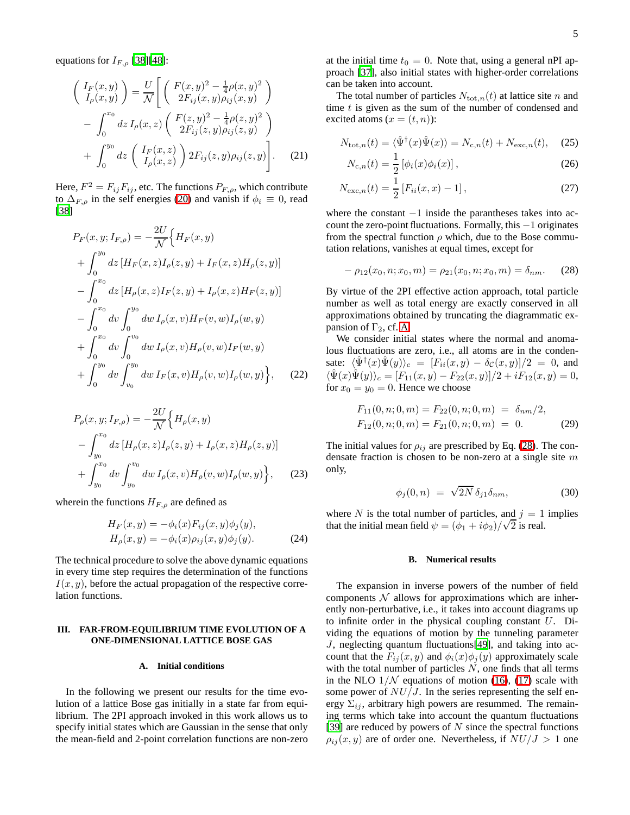equations for  $I_{F,\rho}$  [\[38](#page-8-36)][\[48\]](#page-8-38):

$$
\begin{pmatrix}\nI_F(x,y) \\
I_\rho(x,y)\n\end{pmatrix} = \frac{U}{\mathcal{N}} \left[ \begin{pmatrix}\nF(x,y)^2 - \frac{1}{4}\rho(x,y)^2 \\
2F_{ij}(x,y)\rho_{ij}(x,y)\n\end{pmatrix} - \int_0^{x_0} dz I_\rho(x,z) \begin{pmatrix}\nF(z,y)^2 - \frac{1}{4}\rho(z,y)^2 \\
2F_{ij}(z,y)\rho_{ij}(z,y)\n\end{pmatrix} + \int_0^{y_0} dz \begin{pmatrix}\nI_F(x,z) \\
I_\rho(x,z)\n\end{pmatrix} 2F_{ij}(z,y)\rho_{ij}(z,y) \right].
$$
\n(21)

Here,  $F^2 = F_{ij}F_{ij}$ , etc. The functions  $P_{F,\rho}$ , which contribute to  $\Delta_{F,\rho}$  in the self energies [\(20\)](#page-3-3) and vanish if  $\phi_i \equiv 0$ , read [\[38](#page-8-36)]

$$
P_F(x, y; I_{F,\rho}) = -\frac{2U}{\mathcal{N}} \Big\{ H_F(x, y) + \int_0^{y_0} dz \left[ H_F(x, z) I_{\rho}(z, y) + I_F(x, z) H_{\rho}(z, y) \right] - \int_0^{x_0} dz \left[ H_{\rho}(x, z) I_F(z, y) + I_{\rho}(x, z) H_F(z, y) \right] - \int_0^{x_0} dv \int_0^{y_0} dw I_{\rho}(x, v) H_F(v, w) I_{\rho}(w, y) + \int_0^{x_0} dv \int_0^{v_0} dw I_{\rho}(x, v) H_{\rho}(v, w) I_F(w, y) + \int_0^{y_0} dv \int_{v_0}^{y_0} dw I_F(x, v) H_{\rho}(v, w) I_{\rho}(w, y) \Big\}, \quad (22)
$$

$$
P_{\rho}(x, y; I_{F,\rho}) = -\frac{2U}{\mathcal{N}} \Big\{ H_{\rho}(x, y) - \int_{y_0}^{x_0} dz \left[ H_{\rho}(x, z) I_{\rho}(z, y) + I_{\rho}(x, z) H_{\rho}(z, y) \right] + \int_{y_0}^{x_0} dv \int_{y_0}^{v_0} dw \, I_{\rho}(x, v) H_{\rho}(v, w) I_{\rho}(w, y) \Big\}, \tag{23}
$$

wherein the functions  $H_{F,\rho}$  are defined as

$$
H_F(x, y) = -\phi_i(x) F_{ij}(x, y)\phi_j(y),
$$
  
\n
$$
H_\rho(x, y) = -\phi_i(x)\rho_{ij}(x, y)\phi_j(y).
$$
\n(24)

The technical procedure to solve the above dynamic equations in every time step requires the determination of the functions  $I(x, y)$ , before the actual propagation of the respective correlation functions.

## <span id="page-4-0"></span>**III. FAR-FROM-EQUILIBRIUM TIME EVOLUTION OF A ONE-DIMENSIONAL LATTICE BOSE GAS**

## **A. Initial conditions**

In the following we present our results for the time evolution of a lattice Bose gas initially in a state far from equilibrium. The 2PI approach invoked in this work allows us to specify initial states which are Gaussian in the sense that only the mean-field and 2-point correlation functions are non-zero

at the initial time  $t_0 = 0$ . Note that, using a general nPI approach [\[37\]](#page-8-33), also initial states with higher-order correlations can be taken into account.

The total number of particles  $N_{\text{tot},n}(t)$  at lattice site n and time  $t$  is given as the sum of the number of condensed and excited atoms  $(x = (t, n))$ :

$$
N_{\text{tot},n}(t) = \langle \hat{\Psi}^{\dagger}(x)\hat{\Psi}(x)\rangle = N_{\text{c},n}(t) + N_{\text{exc},n}(t), \quad (25)
$$

<span id="page-4-2"></span>
$$
N_{c,n}(t) = \frac{1}{2} [\phi_i(x)\phi_i(x)],
$$
\n(26)

$$
N_{\text{exc},n}(t) = \frac{1}{2} \left[ F_{ii}(x, x) - 1 \right],\tag{27}
$$

where the constant  $-1$  inside the parantheses takes into account the zero-point fluctuations. Formally, this −1 originates from the spectral function  $\rho$  which, due to the Bose commutation relations, vanishes at equal times, except for

<span id="page-4-1"></span>
$$
-\rho_{12}(x_0, n; x_0, m) = \rho_{21}(x_0, n; x_0, m) = \delta_{nm}.
$$
 (28)

By virtue of the 2PI effective action approach, total particle number as well as total energy are exactly conserved in all approximations obtained by truncating the diagrammatic expansion of  $\Gamma_2$ , cf. [A.](#page-7-3)

We consider initial states where the normal and anomalous fluctuations are zero, i.e., all atoms are in the condensate:  $\langle \hat{\Psi}^{\dagger}(x) \hat{\Psi}(y) \rangle_c = [F_{ii}(x, y) - \delta_c(x, y)]/2 = 0$ , and  $\langle \hat{\Psi}(x)\hat{\Psi}(y)\rangle_c = [F_{11}(x,y) - F_{22}(x,y)]/2 + iF_{12}(x,y) = 0,$ for  $x_0 = y_0 = 0$ . Hence we choose

$$
F_{11}(0, n; 0, m) = F_{22}(0, n; 0, m) = \delta_{nm}/2,
$$
  
\n
$$
F_{12}(0, n; 0, m) = F_{21}(0, n; 0, m) = 0.
$$
 (29)

The initial values for  $\rho_{ij}$  are prescribed by Eq. [\(28\)](#page-4-1). The condensate fraction is chosen to be non-zero at a single site m only,

$$
\phi_j(0,n) = \sqrt{2N} \,\delta_{j1}\delta_{nm},\tag{30}
$$

where N is the total number of particles, and  $j = 1$  implies that the initial mean field  $\psi = (\phi_1 + i\phi_2)/\sqrt{2}$  is real.

#### **B. Numerical results**

The expansion in inverse powers of the number of field components  $\mathcal N$  allows for approximations which are inherently non-perturbative, i.e., it takes into account diagrams up to infinite order in the physical coupling constant  $U$ . Dividing the equations of motion by the tunneling parameter J, neglecting quantum fluctuations[\[49\]](#page-8-39), and taking into account that the  $F_{ij}(x, y)$  and  $\phi_i(x)\phi_j(y)$  approximately scale with the total number of particles  $N$ , one finds that all terms in the NLO  $1/N$  equations of motion [\(16\)](#page-3-0), [\(17\)](#page-3-0) scale with some power of  $NU/J$ . In the series representing the self energy  $\Sigma_{ij}$ , arbitrary high powers are resummed. The remaining terms which take into account the quantum fluctuations [\[39](#page-8-40)] are reduced by powers of  $N$  since the spectral functions  $\rho_{ij}(x, y)$  are of order one. Nevertheless, if  $NU/J > 1$  one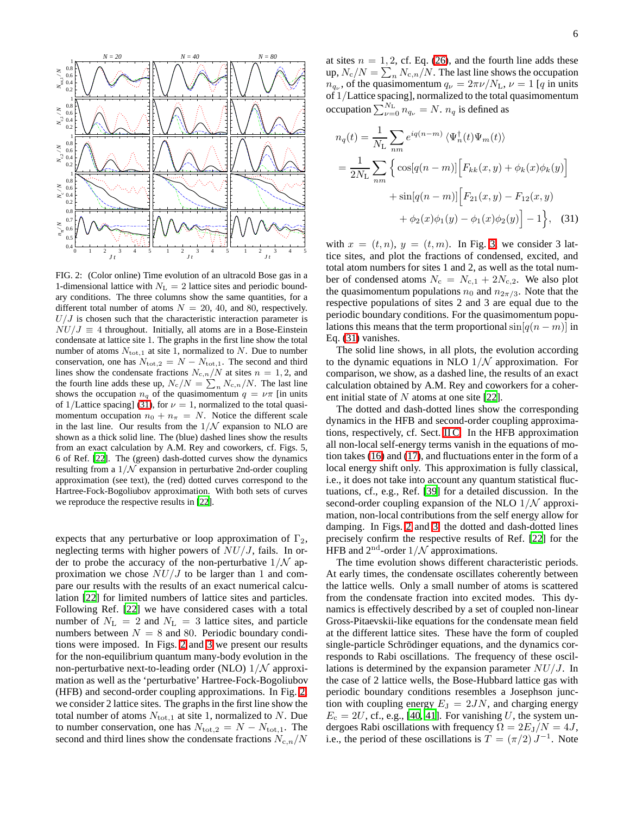

<span id="page-5-1"></span>FIG. 2: (Color online) Time evolution of an ultracold Bose gas in a 1-dimensional lattice with  $N_{\rm L} = 2$  lattice sites and periodic boundary conditions. The three columns show the same quantities, for a different total number of atoms  $N = 20, 40,$  and 80, respectively.  $U/J$  is chosen such that the characteristic interaction parameter is  $NU/J \equiv 4$  throughout. Initially, all atoms are in a Bose-Einstein condensate at lattice site 1. The graphs in the first line show the total number of atoms  $N_{\text{tot},1}$  at site 1, normalized to N. Due to number conservation, one has  $N_{\text{tot,2}} = N - N_{\text{tot,1}}$ . The second and third lines show the condensate fractions  $N_{c,n}/N$  at sites  $n = 1, 2$ , and the fourth line adds these up,  $N_c/N = \sum_n N_{c,n}/N$ . The last line shows the occupation  $n_q$  of the quasimomentum  $q = \nu \pi$  [in units of 1/Lattice spacing] [\(31\)](#page-5-0), for  $\nu = 1$ , normalized to the total quasimomentum occupation  $n_0 + n_\pi = N$ . Notice the different scale in the last line. Our results from the  $1/N$  expansion to NLO are shown as a thick solid line. The (blue) dashed lines show the results from an exact calculation by A.M. Rey and coworkers, cf. Figs. 5, 6 of Ref. [\[22](#page-8-18)]. The (green) dash-dotted curves show the dynamics resulting from a  $1/N$  expansion in perturbative 2nd-order coupling approximation (see text), the (red) dotted curves correspond to the Hartree-Fock-Bogoliubov approximation. With both sets of curves we reproduce the respective results in [\[22](#page-8-18)].

expects that any perturbative or loop approximation of  $\Gamma_2$ , neglecting terms with higher powers of  $NU/J$ , fails. In order to probe the accuracy of the non-perturbative  $1/N$  approximation we chose  $NU/J$  to be larger than 1 and compare our results with the results of an exact numerical calculation [\[22](#page-8-18)] for limited numbers of lattice sites and particles. Following Ref. [\[22\]](#page-8-18) we have considered cases with a total number of  $N_{\rm L} = 2$  and  $N_{\rm L} = 3$  lattice sites, and particle numbers between  $N = 8$  and 80. Periodic boundary conditions were imposed. In Figs. [2](#page-5-1) and [3](#page-6-1) we present our results for the non-equilibrium quantum many-body evolution in the non-perturbative next-to-leading order (NLO)  $1/N$  approximation as well as the 'perturbative' Hartree-Fock-Bogoliubov (HFB) and second-order coupling approximations. In Fig. [2,](#page-5-1) we consider 2 lattice sites. The graphs in the first line show the total number of atoms  $N_{\text{tot},1}$  at site 1, normalized to N. Due to number conservation, one has  $N_{\text{tot},2} = N - N_{\text{tot},1}$ . The second and third lines show the condensate fractions  $N_{c,n}/N$ 

at sites  $n = 1, 2$ , cf. Eq. [\(26\)](#page-4-2), and the fourth line adds these up,  $N_{\rm c}/N = \sum_n N_{{\rm c},n}/N.$  The last line shows the occupation  $n_{q_{\nu}}$ , of the quasimomentum  $q_{\nu} = 2\pi \nu / N_{\rm L}$ ,  $\nu = 1$  [q in units of 1/Lattice spacing], normalized to the total quasimomentum occupation  $\sum_{\nu=0}^{N_{\rm L}} n_{q_{\nu}} = N$ .  $n_q$  is defined as

<span id="page-5-0"></span>
$$
n_q(t) = \frac{1}{N_{\rm L}} \sum_{nm} e^{iq(n-m)} \langle \Psi_n^{\dagger}(t) \Psi_m(t) \rangle
$$
  
= 
$$
\frac{1}{2N_{\rm L}} \sum_{nm} \left\{ \cos[q(n-m)] \Big[ F_{kk}(x, y) + \phi_k(x) \phi_k(y) \Big] + \sin[q(n-m)] \Big[ F_{21}(x, y) - F_{12}(x, y) + \phi_2(x) \phi_1(y) - \phi_1(x) \phi_2(y) \Big] - 1 \right\}, \quad (31)
$$

with  $x = (t, n)$ ,  $y = (t, m)$ . In Fig. [3,](#page-6-1) we consider 3 lattice sites, and plot the fractions of condensed, excited, and total atom numbers for sites 1 and 2, as well as the total number of condensed atoms  $N_c = N_{c,1} + 2N_{c,2}$ . We also plot the quasimomentum populations  $n_0$  and  $n_{2\pi/3}$ . Note that the respective populations of sites 2 and 3 are equal due to the periodic boundary conditions. For the quasimomentum populations this means that the term proportional  $\sin[q(n-m)]$  in Eq. [\(31\)](#page-5-0) vanishes.

The solid line shows, in all plots, the evolution according to the dynamic equations in NLO  $1/N$  approximation. For comparison, we show, as a dashed line, the results of an exact calculation obtained by A.M. Rey and coworkers for a coherent initial state of  $N$  atoms at one site [\[22](#page-8-18)].

The dotted and dash-dotted lines show the corresponding dynamics in the HFB and second-order coupling approximations, respectively, cf. Sect. [II C.](#page-3-4) In the HFB approximation all non-local self-energy terms vanish in the equations of motion takes [\(16\)](#page-3-0) and [\(17\)](#page-3-0), and fluctuations enter in the form of a local energy shift only. This approximation is fully classical, i.e., it does not take into account any quantum statistical fluctuations, cf., e.g., Ref. [\[39\]](#page-8-40) for a detailed discussion. In the second-order coupling expansion of the NLO  $1/N$  approximation, non-local contributions from the self energy allow for damping. In Figs. [2](#page-5-1) and [3,](#page-6-1) the dotted and dash-dotted lines precisely confirm the respective results of Ref. [\[22\]](#page-8-18) for the HFB and  $2<sup>nd</sup>$ -order  $1/N$  approximations.

The time evolution shows different characteristic periods. At early times, the condensate oscillates coherently between the lattice wells. Only a small number of atoms is scattered from the condensate fraction into excited modes. This dynamics is effectively described by a set of coupled non-linear Gross-Pitaevskii-like equations for the condensate mean field at the different lattice sites. These have the form of coupled single-particle Schrödinger equations, and the dynamics corresponds to Rabi oscillations. The frequency of these oscillations is determined by the expansion parameter  $NU/J$ . In the case of 2 lattice wells, the Bose-Hubbard lattice gas with periodic boundary conditions resembles a Josephson junction with coupling energy  $E_J = 2JN$ , and charging energy  $E_c = 2U$ , cf., e.g., [\[40,](#page-8-41) [41\]](#page-8-42). For vanishing U, the system undergoes Rabi oscillations with frequency  $\Omega = 2E_{\rm J}/N = 4J$ , i.e., the period of these oscillations is  $T = (\pi/2) J^{-1}$ . Note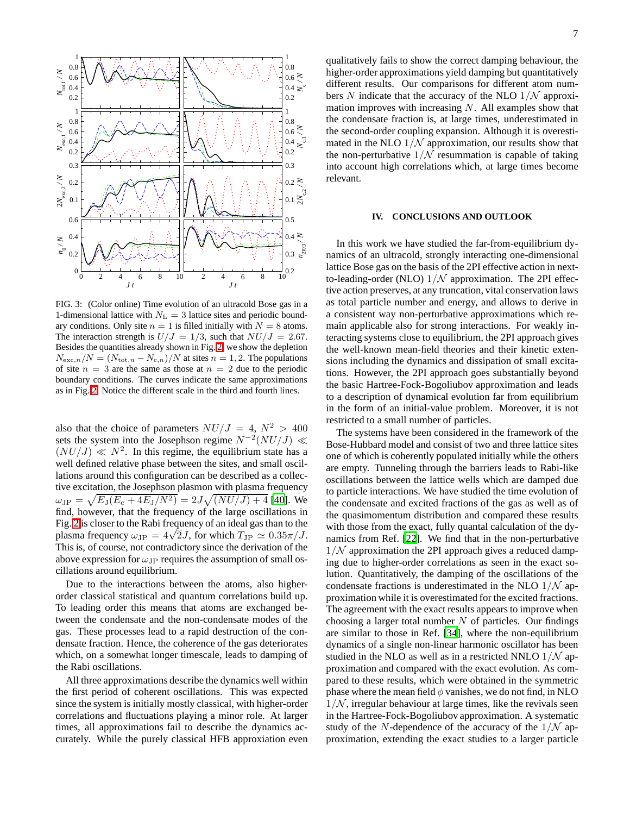

<span id="page-6-1"></span>FIG. 3: (Color online) Time evolution of an ultracold Bose gas in a 1-dimensional lattice with  $N_{\rm L} = 3$  lattice sites and periodic boundary conditions. Only site  $n = 1$  is filled initially with  $N = 8$  atoms. The interaction strength is  $U/J = 1/3$ , such that  $NU/J = 2.67$ . Besides the quantities already shown in Fig. [2,](#page-5-1) we show the depletion  $N_{\text{exc},n}/N = (N_{\text{tot},n} - N_{\text{c},n})/N$  at sites  $n = 1, 2$ . The populations of site  $n = 3$  are the same as those at  $n = 2$  due to the periodic boundary conditions. The curves indicate the same approximations as in Fig. [2.](#page-5-1) Notice the different scale in the third and fourth lines.

also that the choice of parameters  $NU/J = 4$ ,  $N^2 > 400$ sets the system into the Josephson regime  $N^{-2}(NU/J) \ll$  $(NU/J) \ll N^2$ . In this regime, the equilibrium state has a well defined relative phase between the sites, and small oscillations around this configuration can be described as a collective excitation, the Josephson plasmon with plasma frequency  $\omega_{\rm JP} = \sqrt{E_{\rm J}(E_{\rm c} + 4E_{\rm J}/N^2)} = 2J\sqrt{(NU/J) + 4}$  [\[40\]](#page-8-41). We find, however, that the frequency of the large oscillations in Fig. [2](#page-5-1) is closer to the Rabi frequency of an ideal gas than to the plasma frequency  $\omega_{\text{JP}} = 4\sqrt{2}J$ , for which  $T_{\text{JP}} \simeq 0.35\pi/J$ . This is, of course, not contradictory since the derivation of the above expression for  $\omega_{\text{JP}}$  requires the assumption of small oscillations around equilibrium.

Due to the interactions between the atoms, also higherorder classical statistical and quantum correlations build up. To leading order this means that atoms are exchanged between the condensate and the non-condensate modes of the gas. These processes lead to a rapid destruction of the condensate fraction. Hence, the coherence of the gas deteriorates which, on a somewhat longer timescale, leads to damping of the Rabi oscillations.

All three approximations describe the dynamics well within the first period of coherent oscillations. This was expected since the system is initially mostly classical, with higher-order correlations and fluctuations playing a minor role. At larger times, all approximations fail to describe the dynamics accurately. While the purely classical HFB approxiation even qualitatively fails to show the correct damping behaviour, the higher-order approximations yield damping but quantitatively different results. Our comparisons for different atom numbers  $N$  indicate that the accuracy of the NLO  $1/N$  approximation improves with increasing  $N$ . All examples show that the condensate fraction is, at large times, underestimated in the second-order coupling expansion. Although it is overestimated in the NLO  $1/N$  approximation, our results show that the non-perturbative  $1/N$  resummation is capable of taking into account high correlations which, at large times become relevant.

# **IV. CONCLUSIONS AND OUTLOOK**

<span id="page-6-0"></span>In this work we have studied the far-from-equilibrium dynamics of an ultracold, strongly interacting one-dimensional lattice Bose gas on the basis of the 2PI effective action in nextto-leading-order (NLO)  $1/N$  approximation. The 2PI effective action preserves, at any truncation, vital conservation laws as total particle number and energy, and allows to derive in a consistent way non-perturbative approximations which remain applicable also for strong interactions. For weakly interacting systems close to equilibrium, the 2PI approach gives the well-known mean-field theories and their kinetic extensions including the dynamics and dissipation of small excitations. However, the 2PI approach goes substantially beyond the basic Hartree-Fock-Bogoliubov approximation and leads to a description of dynamical evolution far from equilibrium in the form of an initial-value problem. Moreover, it is not restricted to a small number of particles.

The systems have been considered in the framework of the Bose-Hubbard model and consist of two and three lattice sites one of which is coherently populated initially while the others are empty. Tunneling through the barriers leads to Rabi-like oscillations between the lattice wells which are damped due to particle interactions. We have studied the time evolution of the condensate and excited fractions of the gas as well as of the quasimomentum distribution and compared these results with those from the exact, fully quantal calculation of the dynamics from Ref. [\[22\]](#page-8-18). We find that in the non-perturbative  $1/N$  approximation the 2PI approach gives a reduced damping due to higher-order correlations as seen in the exact solution. Quantitatively, the damping of the oscillations of the condensate fractions is underestimated in the NLO  $1/N$  approximation while it is overestimated for the excited fractions. The agreement with the exact results appears to improve when choosing a larger total number  $N$  of particles. Our findings are similar to those in Ref. [\[34](#page-8-30)], where the non-equilibrium dynamics of a single non-linear harmonic oscillator has been studied in the NLO as well as in a restricted NNLO  $1/N$  approximation and compared with the exact evolution. As compared to these results, which were obtained in the symmetric phase where the mean field  $\phi$  vanishes, we do not find, in NLO  $1/N$ , irregular behaviour at large times, like the revivals seen in the Hartree-Fock-Bogoliubov approximation. A systematic study of the N-dependence of the accuracy of the  $1/N$  approximation, extending the exact studies to a larger particle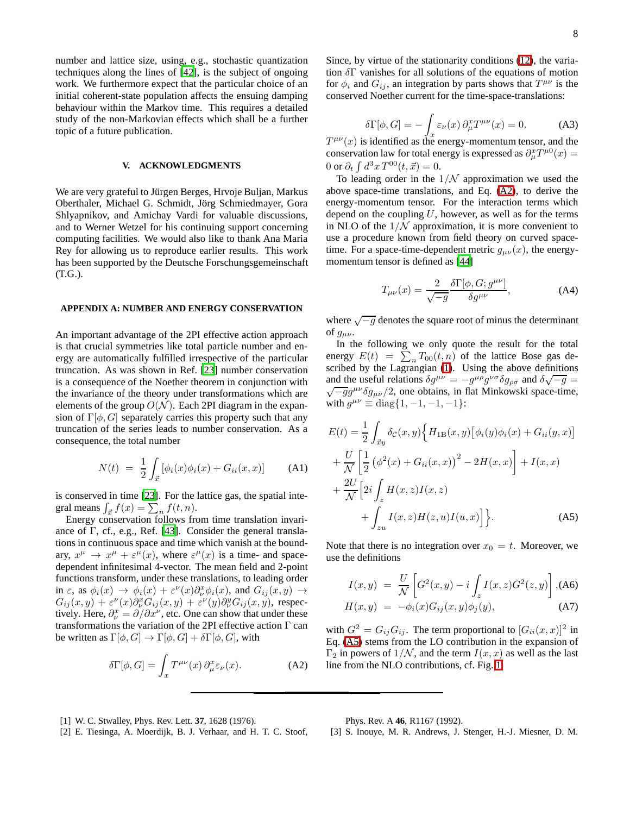number and lattice size, using, e.g., stochastic quantization techniques along the lines of [\[42](#page-8-43)], is the subject of ongoing work. We furthermore expect that the particular choice of an initial coherent-state population affects the ensuing damping behaviour within the Markov time. This requires a detailed study of the non-Markovian effects which shall be a further topic of a future publication.

## **V. ACKNOWLEDGMENTS**

We are very grateful to Jürgen Berges, Hrvoje Buljan, Markus Oberthaler, Michael G. Schmidt, Jörg Schmiedmayer, Gora Shlyapnikov, and Amichay Vardi for valuable discussions, and to Werner Wetzel for his continuing support concerning computing facilities. We would also like to thank Ana Maria Rey for allowing us to reproduce earlier results. This work has been supported by the Deutsche Forschungsgemeinschaft (T.G.).

## <span id="page-7-3"></span>**APPENDIX A: NUMBER AND ENERGY CONSERVATION**

An important advantage of the 2PI effective action approach is that crucial symmetries like total particle number and energy are automatically fulfilled irrespective of the particular truncation. As was shown in Ref. [\[23](#page-8-19)] number conservation is a consequence of the Noether theorem in conjunction with the invariance of the theory under transformations which are elements of the group  $O(N)$ . Each 2PI diagram in the expansion of  $\Gamma[\phi, G]$  separately carries this property such that any truncation of the series leads to number conservation. As a consequence, the total number

$$
N(t) = \frac{1}{2} \int_{\vec{x}} [\phi_i(x)\phi_i(x) + G_{ii}(x, x)] \quad (A1)
$$

is conserved in time [\[23\]](#page-8-19). For the lattice gas, the spatial integral means  $\int_{\vec{x}} f(x) = \sum_{n} f(t, n)$ .

Energy conservation follows from time translation invariance of Γ, cf., e.g., Ref. [\[43](#page-8-44)]. Consider the general translations in continuous space and time which vanish at the boundary,  $x^{\mu} \rightarrow x^{\mu} + \varepsilon^{\mu}(x)$ , where  $\varepsilon^{\mu}(x)$  is a time- and spacedependent infinitesimal 4-vector. The mean field and 2-point functions transform, under these translations, to leading order in  $\varepsilon$ , as  $\phi_i(x) \to \phi_i(x) + \varepsilon^{\nu}(x) \partial_{\nu}^x \phi_i(x)$ , and  $G_{ij}(x, y) \to$  $G_{ij}(x,y) + \varepsilon^{\nu}(x)\partial_{\nu}^{x}G_{ij}(x,y) + \varepsilon^{\nu}(y)\partial_{\nu}^{y}G_{ij}(x,y)$ , respectively. Here,  $\partial_{\nu}^{x} = \partial/\partial x^{\nu}$ , etc. One can show that under these transformations the variation of the 2PI effective action Γ can be written as  $\Gamma[\phi, G] \to \Gamma[\phi, G] + \delta \Gamma[\phi, G]$ , with

$$
\delta\Gamma[\phi, G] = \int_x T^{\mu\nu}(x) \,\partial_\mu^x \varepsilon_\nu(x). \tag{A2}
$$

Since, by virtue of the stationarity conditions [\(12\)](#page-2-1), the variation  $\delta\Gamma$  vanishes for all solutions of the equations of motion for  $\phi_i$  and  $G_{ij}$ , an integration by parts shows that  $T^{\mu\nu}$  is the conserved Noether current for the time-space-translations:

$$
\delta\Gamma[\phi, G] = -\int_x \varepsilon_\nu(x) \,\partial_\mu^x T^{\mu\nu}(x) = 0. \tag{A3}
$$

 $T^{\mu\nu}(x)$  is identified as the energy-momentum tensor, and the conservation law for total energy is expressed as  $\partial_{\mu}^{x}T^{\mu 0}(x) =$ 0 or  $\partial_t \int d^3x T^{00}(t, \vec{x}) = 0.$ 

To leading order in the  $1/N$  approximation we used the above space-time translations, and Eq. [\(A2\)](#page-7-4), to derive the energy-momentum tensor. For the interaction terms which depend on the coupling  $U$ , however, as well as for the terms in NLO of the  $1/N$  approximation, it is more convenient to use a procedure known from field theory on curved spacetime. For a space-time-dependent metric  $g_{\mu\nu}(x)$ , the energymomentum tensor is defined as [\[44\]](#page-8-45)

$$
T_{\mu\nu}(x) = \frac{2}{\sqrt{-g}} \frac{\delta \Gamma[\phi, G; g^{\mu\nu}]}{\delta g^{\mu\nu}},
$$
 (A4)

where  $\sqrt{-g}$  denotes the square root of minus the determinant of  $g_{\mu\nu}$ .

In the following we only quote the result for the total energy  $E(t) = \sum_{n} T_{00}(t, n)$  of the lattice Bose gas described by the Lagrangian [\(1\)](#page-1-3). Using the above definitions and the useful relations  $\delta g^{\mu\nu} = -g^{\mu\rho}g^{\nu\sigma}\delta g_{\rho\sigma}$  and  $\delta \sqrt{-g} =$ <br> $\sqrt{-g}g^{\mu\nu}\delta g_{\mu\nu}/2$  one obtains in flat Minkowski space-time  $\sqrt{-g}g^{\mu\nu}\delta g_{\mu\nu}/2$ , one obtains, in flat Minkowski space-time, with  $g^{\mu\nu} \equiv \text{diag}\{1, -1, -1, -1\}$ :

$$
E(t) = \frac{1}{2} \int_{\vec{x}y} \delta_{\mathcal{C}}(x, y) \Big\{ H_{1B}(x, y) \big[ \phi_{i}(y) \phi_{i}(x) + G_{ii}(y, x) \big] + \frac{U}{\mathcal{N}} \bigg[ \frac{1}{2} \big( \phi^{2}(x) + G_{ii}(x, x) \big)^{2} - 2H(x, x) \bigg] + I(x, x) + \frac{2U}{\mathcal{N}} \bigg[ 2i \int_{z} H(x, z) I(x, z) + \int_{zu} I(x, z) H(z, u) I(u, x) \bigg] \Big\}.
$$
 (A5)

Note that there is no integration over  $x_0 = t$ . Moreover, we use the definitions

<span id="page-7-5"></span>
$$
I(x,y) = \frac{U}{\mathcal{N}} \left[ G^2(x,y) - i \int_z I(x,z) G^2(z,y) \right], \text{(A6)}
$$
  

$$
H(x,y) = -\phi_i(x) G_{ij}(x,y) \phi_j(y), \text{(A7)}
$$

with  $G^2 = G_{ij} G_{ij}$ . The term proportional to  $[G_{ii}(x, x)]^2$  in Eq. [\(A5\)](#page-7-5) stems from the LO contribution in the expansion of  $\Gamma_2$  in powers of  $1/N$ , and the term  $I(x, x)$  as well as the last line from the NLO contributions, cf. Fig. [1.](#page-3-1)

- <span id="page-7-4"></span><span id="page-7-0"></span>[1] W. C. Stwalley, Phys. Rev. Lett. **37**, 1628 (1976).
- <span id="page-7-1"></span>[2] E. Tiesinga, A. Moerdijk, B. J. Verhaar, and H. T. C. Stoof,

Phys. Rev. A **46**, R1167 (1992).

<span id="page-7-2"></span>[3] S. Inouye, M. R. Andrews, J. Stenger, H.-J. Miesner, D. M.